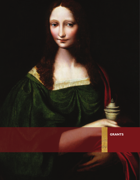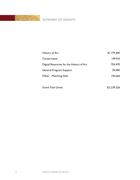

| History of Art                           | \$1,179,300 |
|------------------------------------------|-------------|
| Conservation                             | 149.410     |
| Digital Resources for the History of Art | 704.470     |
| General Program Support                  | 59.480      |
| Other - Matching Gifts                   | 146.666     |
|                                          |             |

| <b>Grand Total Grants</b> | \$2,239,326 |
|---------------------------|-------------|
|---------------------------|-------------|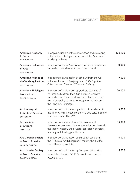

| American Academy<br>in Rome<br>NEW YORK, NY                         | In ongoing support of the conservation and cataloging<br>of the historic photographic archive at the American<br>Academy in Rome                                                                                                                     | 108,900 |
|---------------------------------------------------------------------|------------------------------------------------------------------------------------------------------------------------------------------------------------------------------------------------------------------------------------------------------|---------|
| <b>American Federation</b><br>of Arts<br>NEW YORK, NY               | In support of the AFA ArtViews panel discussion series<br>focused on critical issues in the museum world                                                                                                                                             | 10,000  |
| American Friends of<br>the Warburg Institute<br>NEW YORK, NY        | In support of participation by scholars from the US<br>in the conference, Classifying Content: Photographic<br>Collections and Theories of Thematic Ordering                                                                                         | 7,000   |
| American Philological<br>Association<br>PHILADELPHIA, PA            | In support of participation by graduate students of<br>classical studies from the US in summer seminars<br>focused on ancient art and material culture, with the<br>aim of equipping students to recognize and interpret<br>the "language" of images | 20,000  |
| Archaeological<br>Institute of America<br><b>BOSTON, MA</b>         | In support of participation by scholars from abroad in<br>the 114th Annual Meeting of the Archaeological Institute<br>of America in Seattle, WA                                                                                                      | 5,000   |
| Art Institute<br>of Chicago<br>CHICAGO, IL                          | In support of a series of summer professional<br>development seminars for museum educators to study<br>the theory, history, and practical application of gallery<br>teaching with leading practitioners                                              | 29,000  |
| Art Libraries Society<br>of North America<br>CALGARY, CANADA        | In support of participation by European scholars in<br>the "Future of Art Bibliography" meeting held at the<br>Getty Research Institute                                                                                                              | 8,000   |
| <b>Art Libraries Society</b><br>of North America<br>CALGARY, CANADA | In support of participation by European information<br>specialists in the ARLIS/NA Annual Conference in<br>Pasadena, CA                                                                                                                              | 9,000   |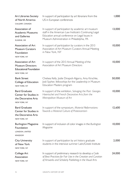| <b>Art Libraries Society</b><br>of North America<br>CALGARY, CANADA                            | In support of participation by art librarians from the<br>US in European conferences                                                                                                                        | 1,000  |
|------------------------------------------------------------------------------------------------|-------------------------------------------------------------------------------------------------------------------------------------------------------------------------------------------------------------|--------|
| Association of<br><b>Academic Museums</b><br>and Galleries<br>EUGENE, OR                       | In support of participation by academic art museum<br>staff in the American Law Institute's Continuing Legal<br>Education annual conference on Legal Issues in<br>Museum Administration in Philadelphia, PA | 13,000 |
| Association of Art<br><b>Museum Curators</b><br>Foundation<br>NEW YORK, NY                     | In support of participation by curators in the 2013<br>Association of Art Museum Curators Annual Meeting<br>in New York, NY                                                                                 | 10,000 |
| Association of Art<br><b>Museum Directors</b><br><b>Educational Foundation</b><br>NEW YORK, NY | In support of the 2013 Annual Meeting of the<br>Association of Art Museum Directors                                                                                                                         | 10,000 |
| <b>Bank Street</b><br>College of Education<br>NEW YORK, NY                                     | Chelsea Kelly, Jodie Dinapoli-Algarra, Amy Kirschke,<br>Jodi Sypher, fellowships for the Leadership in Museum<br><b>Education Masters program</b>                                                           | 50,000 |
| <b>Bard Graduate</b><br>Center for Studies in<br>the Decorative Arts<br>NEW YORK, NY           | In support of the exhibiton, Salvaging the Past: Georges<br>Hoentschel and French Decorative Arts from the<br>Metropolitan Museum of Art                                                                    | 10,000 |
| <b>Bard Graduate</b><br>Center for Studies in<br>the Decorative Arts<br>NEW YORK, NY           | In support of the symposium, Material Reformations:<br>Towards a Material Culture of Protestantism                                                                                                          | 12,600 |
| <b>Burlington Magazine</b><br>Foundation<br>LONDON, UNITED<br><b>KINGDOM</b>                   | In support of inclusion of color images in the Burlington<br>Magazine                                                                                                                                       | 10,000 |
| <b>City University</b><br>of New York<br>NEW YORK, NY                                          | In support of participation by art history graduate<br>students in the intensive summer Latin/Greek Institute                                                                                               | 2,000  |
| College Art<br>Association<br>NEW YORK, NY                                                     | In support of preliminary research to develop a Code<br>of Best Practices for Fair Use in the Creation and Curation<br>of Artworks and Scholarly Publishing in the Visual Arts                              | 24,000 |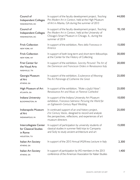| Council of<br><b>Independent Colleges</b><br>WASHINGTON, DC               | In support of the faculty development project, Teaching<br>Pre-Modern Art in Context, held at the High Museum<br>of Art in Altanta, GA during the summer of 2013                       | 44,000 |
|---------------------------------------------------------------------------|----------------------------------------------------------------------------------------------------------------------------------------------------------------------------------------|--------|
| Council of<br><b>Independent Colleges</b><br>WASHINGTON, DC               | In support of the faculty development project, Teaching<br>Pre-Modern Art in Context, held at the University of<br>Chicago's Smart Museum in Chicago, IL, during the<br>summer of 2014 | 92,150 |
| <b>Frick Collection</b><br>NEW YORK, NY                                   | In support of the exhibition, Piero della Francesca in<br>America                                                                                                                      | 15,000 |
| <b>Frick Collection</b><br>NEW YORK, NY                                   | In support of both long-term and short-term fellowships<br>at the Center for the History of Collecting                                                                                 | 30,000 |
| <b>Frist Center for</b><br>the Visual Arts<br>NASHVILLE, TN               | In support of the exhibition, Sanctity Pictured: The Art of<br>the Dominican and Franciscan Orders in Renaissance Italy                                                                | 20,000 |
| Georgia Museum<br>of Art<br>ATHENS, GA                                    | In support of the exhibition, Exuberance of Meaning:<br>The Art Patronage of Catherine the Great                                                                                       | 25,000 |
| High Museum of Art<br>ATLANTA, GA                                         | In support of the exhibition, "Make a Joyful Noise":<br>Renaissance Art and Music at Florence Cathedral                                                                                | 25,000 |
| Indiana University<br><b>BLOOMINGTON, IN</b>                              | In support of the Indiana University Art Museum<br>exhibition, Francesco Solimena: Picturing the World for<br>an Eighteenth-Century Royal Wedding                                      | 10,000 |
| Indianapolis Museum<br>of Art<br><b>INDIANAPOLIS, IN</b>                  | In continued support of an oral history project,<br>21st Century Voices, designed to record and analyze<br>the perspectives, reflections, and experiences of art<br>museum directors   | 25,000 |
| Intercollegiate Center<br>for Classical Studies<br>in Rome<br>HOUSTON, TX | In support of participation by university students of<br>classical studies in summer field trips to Campania<br>and Sicily to study ancient architecture and art                       | 15,000 |
| Italian Art Society<br>ATHENS, GA                                         | In support of the 2013 Annual IAS/Kress Lecture in Italy                                                                                                                               | 2,300  |
| Italian Art Society<br>ATHENS, GA                                         | In support of participation by IAS members in the 2013<br>conference of the American Association for Italian Studies                                                                   | 1,400  |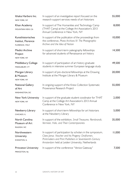| Ithaka Harbors Inc.<br><b>NEW YORK, NY</b>                        | In support of an investigative report focused on the<br>research support services needs of art historians                                                                                                                     | 55,000 |
|-------------------------------------------------------------------|-------------------------------------------------------------------------------------------------------------------------------------------------------------------------------------------------------------------------------|--------|
| Khan Academy<br>MOUNTAIN VIEW, CA                                 | In support of The Humanities and Technology Camp<br>(THAT Camp) at the College Art Association's 2013<br>Annual Conference in New York, NY                                                                                    | 8,000  |
| Kunsthistorisches<br>Institut, Florence<br><b>FLORENCE, ITALY</b> | In support of the publication of the proceedings from<br>the conference, Photo Archives IV: The Photographic<br>Archive and the Idea of Nation                                                                                | 10,000 |
| Medici Archive<br>Project<br>NEW YORK, NY                         | In support of short-term paleography fellowships<br>for advanced students of Renaissance art history                                                                                                                          | 14,500 |
| Middlebury College<br>MIDDLEBURY, VT                              | In support of participation of art history graduate<br>students in intensive summer European language study                                                                                                                   | 49,500 |
| Morgan Library<br>& Museum<br><b>NEW YORK, NY</b>                 | In support of pre-doctoral fellowships at the Drawing<br>Institute at the Morgan Library & Museum                                                                                                                             | 20,000 |
| <b>National Gallery</b><br>of Art<br><b>WASHINGTON, DC</b>        | In ongoing support of the Kress Collection Systematic<br>Provenance Research Project                                                                                                                                          | 55,000 |
| New York University<br>NEW YORK, NY                               | In support of the graduate student coodinator for THAT<br>Camp at the College Art Association's 2013 Annual<br>Conference in New York, NY                                                                                     | 2,000  |
| Newberry Library<br>CHICAGO. IL                                   | In support of short-term fellowships for art historians<br>at the Newberry Library                                                                                                                                            | 5,000  |
| North Carolina<br>Museum of Art<br>RALEIGH, NC                    | In support of the exhibition, Small Treasures: Rembrandt,<br>Vermeer, Hals, and Their Contemporaries                                                                                                                          | 35,000 |
| Northwestern<br>University<br><b>EVANSTON, IL</b>                 | In support of participation by scholars in the symposium,<br>Claes Jansz. Visscher and his Progeny: Draftsmen,<br>Printmakers and Print Publishers in Seventeenth-Century<br>Amsterdam held at Leiden University, Netherlands | 11,000 |
| Princeton University<br>PRINCETON, NJ                             | In support of the conference "Venice Gateway"                                                                                                                                                                                 | 7,500  |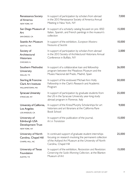| Renaissance Society<br>of America<br><b>NEW YORK, NY</b>                          | In support of participation by scholars from abroad<br>in the 2013 Renaissance Society of America Annual<br>Meeting in New York, NY                                                              | 7,000  |
|-----------------------------------------------------------------------------------|--------------------------------------------------------------------------------------------------------------------------------------------------------------------------------------------------|--------|
| San Diego Museum of<br>Art<br>SAN DIEGO, CA                                       | In support of a scholarly catalog focused on pre-1850<br>Italian, Spanish, and French paintings in the museum's<br>collection                                                                    | 15,000 |
| Seattle Art Museum<br>SEATTLE, WA                                                 | In support of the exhibition, European Masters:<br>Treasures of Seattle                                                                                                                          | 10,000 |
| Society of<br>Architectural<br><b>Historians</b><br>CHICAGO, IL                   | In support of participation by scholars from abroad<br>in the 2013 Society of Architectural Historians Annual<br>Conference in Buffalo, NY                                                       | 2,000  |
| Southern Methodist<br>University<br>DALLAS, TX                                    | In support of a collaborative loan and fellowship<br>program between the Meadows Museum and the<br>Museo Nacional del Prado, Madrid, Spain                                                       | 26,000 |
| Sterling & Francine<br><b>Clark Art Institute</b><br>WILLIAMSTOWN, MA             | In support of the endowed Michael Ann Holly<br>Fellowship in the Clark's Research and Academic<br>Program                                                                                        | 50,000 |
| Syracuse University<br><b>SYRACUSE, NY</b>                                        | In support of participation by graduate students from<br>the US in the Syracuse University year-long study<br>abroad program in Florence, Italy                                                  | 25,000 |
| University of California,<br>Los Angeles<br>LOS ANGELES, CA                       | In support of the Kress/Murphy Scholarships for art<br>historians and art librarians at the California Rare<br><b>Book School</b>                                                                | 9,000  |
| University of<br>Edinburgh USA<br><b>Development Trust</b><br><b>NEW YORK, NY</b> | In support of the publication of the journal,<br>Art in Translation                                                                                                                              | 15,000 |
| University of North<br>Carolina, Chapel Hill<br>CHAPEL HILL, NC                   | In continued support of graduate student internships<br>focusing on research involving the permanent collection<br>of the Ackland Art Museum at the University of North<br>Carolina, Chapel Hill | 25,000 |
| University of Texas<br>Foundation<br>AUSTIN, TX                                   | In support of the exhibition, Restoration and Revelation:<br>Conserving the Suida-Manning Collection, at the Blanton<br>Museum of Art                                                            | 15,000 |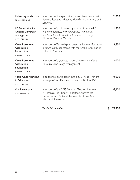| University of Vermont<br><b>BURLINGTON, VT</b>                          | In support of the symposium, Italian Renaissance and<br>Baroque Sculpture: Material, Manufacture, Meaning and<br>Movement                                                             | 2,000       |
|-------------------------------------------------------------------------|---------------------------------------------------------------------------------------------------------------------------------------------------------------------------------------|-------------|
| US Foundation for<br>Queens University<br>at Kingston<br>NEW YORK, NY   | In support of participation by scholars from the US<br>in the conference, New Approaches to the Art of<br>Rembrandt and His Circle at Queens University,<br>Kingston, Ontario, Canada | 11,500      |
| <b>Visual Resources</b><br>Association<br>Foundation<br>SCHENECTADY, NY | In support of fellowships to attend a Summer Education<br>Institute jointly sponsored with the Art Libraries Society<br>of North America                                              | 3,850       |
| <b>Visual Resources</b><br>Association<br>Foundation<br>SCHENECTADY, NY | In support of a graduate student internship in Visual<br>Resources and Image Management                                                                                               | 3,000       |
| Visual Understanding<br>in Education<br>NEW YORK, NY                    | In support of participation in the 2013 Visual Thinking<br>Strategies Annual Summer Institute in Boston, MA                                                                           | 10,000      |
| Yale University<br>NEW HAVEN, CT                                        | In support of the 2013 Summer Teachers Institute<br>in Technical Art History, in partnership with the<br>Conservation Center at the Institute of Fine Arts,<br>New York University    | 33,100      |
|                                                                         | Total - History of Art                                                                                                                                                                | \$1,179,300 |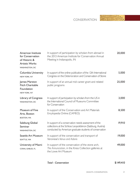**CONSERVATION** 



| American Institute<br>for Conservation<br>of Historic &<br><b>Artistic Works</b><br>WASHINGTON, DC | In support of participation by scholars from abroad in<br>the 2013 American Institute for Conservation Annual<br>Meeting in Indianapolis, IN                                   | 20,000 |
|----------------------------------------------------------------------------------------------------|--------------------------------------------------------------------------------------------------------------------------------------------------------------------------------|--------|
| Columbia University<br><b>NEW YORK, NY</b>                                                         | In support of the online publication of the 12th International<br>Congress on the Deterioration and Conservation of Stone                                                      | 5,000  |
| James Marston<br><b>Fitch Charitable</b><br>Foundation<br>NEW YORK, NY                             | In support of an annual mid-career grant and related<br>public programs                                                                                                        | 25,000 |
| <b>Library of Congress</b><br>WASHINGTON, DC                                                       | In support of participation by scholars from the US in<br>the International Council of Museums Committee<br>for Conservation                                                   | 3,000  |
| Museum of Fine<br>Arts, Boston<br><b>BOSTON, MA</b>                                                | In support of the Conservation and Art Materials<br>Encylopedia Online (CAMEO)                                                                                                 | 8,500  |
| Salzburg Global<br>Seminar<br>WASHINGTON, DC                                                       | In support of a conservation needs assessment of the<br>collections at the Schloss Leopoldskron (Salzburg, Austria)<br>conducted by American graduate students of conservation | 19,910 |
| Seattle Art Museum<br>SEATTLE, WA                                                                  | In support of the conservation and transport of<br>Veronese's Venus and Adonis                                                                                                 | 19,000 |
| University of Miami<br><b>CORAL GABLES, FL</b>                                                     | In support of the conservation of the stone arch,<br>The Annunciation, in the Kress Collection galleries at<br>the Lowe Art Museum                                             | 49,000 |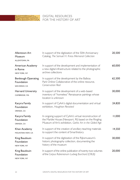

## DIGITAL RESOURCES FOR THE HISTORY OF ART

| <b>Allentown Art</b><br>Museum<br>ALLENTOWN, PA          | In support of the digitization of the 50th Anniversary<br>Catalog, The Samuel H. Kress Memorial Collection                                                                  | 20,500 |
|----------------------------------------------------------|-----------------------------------------------------------------------------------------------------------------------------------------------------------------------------|--------|
| American Academy<br>in Rome<br>NEW YORK, NY              | In support of the development and implementation of<br>a new digital infrastructure related to the photographic<br>archive collections                                      | 60,000 |
| <b>Benbough Operating</b><br>Foundation<br>SAN DIEGO, CA | In support of the development by the Balboa<br>Park Online Collaborative of the online resource,<br><b>Conservation Reel</b>                                                | 62,500 |
| Harvard University<br>CAMBRIDGE, MA                      | In support of the development of a web-based<br>inventory of "homeless" Renaissance paintings whose<br>location is unknown                                                  | 30,000 |
| Kacyra Family<br>Foundation<br>ORINDA, CA                | In support of CyArk's digital documentation and virtual<br>exhibition, Houghton Revisited                                                                                   | 24,820 |
| Kacyra Family<br>Foundation<br>ORINDA, CA                | In ongoing support of CyArk's virtual reconstruction of<br>the Marble House (Newport, RI) based on the Ringling<br>Museum of Art's exhibition, Gothic Art in the Gilded Age | 11,000 |
| Khan Academy<br>MOUNTAIN VIEW, CA                        | In support of the creation of ancillary teaching materials<br>to support the content of Smarthistory                                                                        | 14,550 |
| King Baudouin<br>Foundation<br>NEW YORK, NY              | In support of the digitization of the Rijksmuseum's<br>historic photography collection, documenting the<br>history of the museum                                            | 30,000 |
| King Baudouin<br>Foundation<br>NEW YORK, NY              | In support of the online publication of twenty-two volumes<br>of the Corpus Rubenianum Ludwig Burchard (CRLB)                                                               | 20,000 |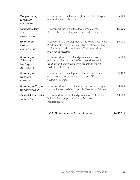| Morgan Library<br>& Museum<br>NEW YORK, NY                     | In support of the systematic digitization of the Morgan's<br>master drawings collection                                                                                                         | 75,000 |
|----------------------------------------------------------------|-------------------------------------------------------------------------------------------------------------------------------------------------------------------------------------------------|--------|
| <b>National Gallery</b><br>of Art<br><b>WASHINGTON, DC</b>     | In continued support of the development of the<br>Kress Collection History and Conservation database                                                                                            | 89,000 |
| Smithsonian<br>Institution<br>WASHINGTON, DC                   | In support of the development of the Provenance in the<br>World War II-Era website, an online electronic finding<br>aid for ten archival collections of World War II-Era<br>provenance research | 50,000 |
| University of<br>California,<br>Los Angeles<br>LOS ANGELES, CA | In continued support of the digitization and online<br>publication of more than 2,000 images documenting<br>Italian art and architecture from the Burton Holmes<br>Collection at UCLA           | 35,500 |
| University of<br>Delaware<br>NEWARK, DE                        | In support of the development of a website focused<br>on technical reconstructions of a series of Kress<br>Collection paintings                                                                 | 37.100 |
| University of Virginia<br>CHARLOTTESVILLE, VA                  | In continued support for the development of the digital<br>archive 'Leonardo da Vinci and His Treatise on Painting'                                                                             | 80,000 |
| Vanderbilt University<br>NASHVILLE, TN                         | In renewed support of the digitization of the Contini-<br>Volterra Photographic Archive of European<br>Renaissance Art                                                                          | 64,500 |

| Total - Digital Resources for the History of Art | \$704,470 |
|--------------------------------------------------|-----------|
|                                                  |           |